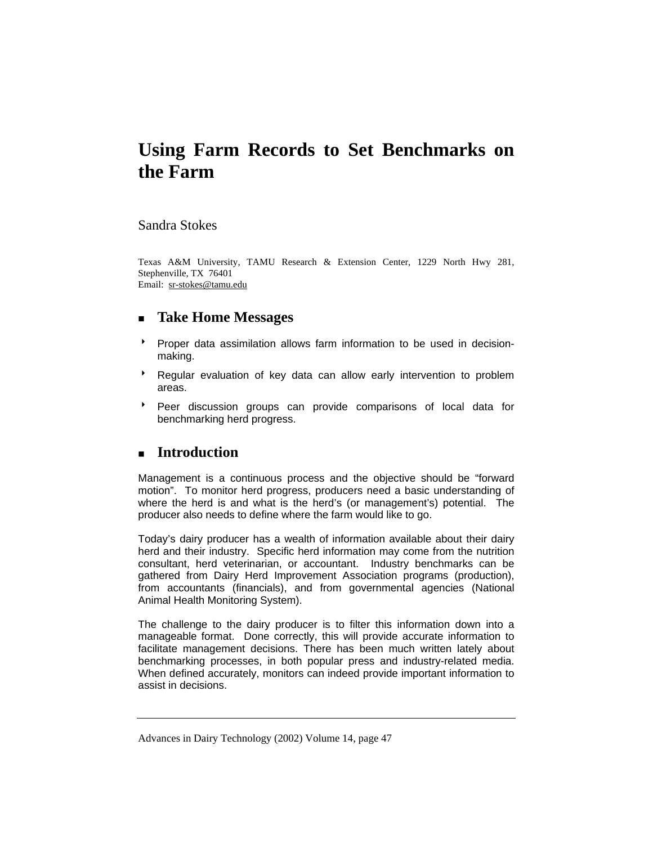# **Using Farm Records to Set Benchmarks on the Farm**

### Sandra Stokes

Texas A&M University, TAMU Research & Extension Center, 1229 North Hwy 281, Stephenville, TX 76401 Email: sr-stokes@tamu.edu

## **Take Home Messages**

- **Proper data assimilation allows farm information to be used in decision**making.
- **BE** Regular evaluation of key data can allow early intervention to problem areas.
- **Peer discussion groups can provide comparisons of local data for** benchmarking herd progress.

# **Introduction**

Management is a continuous process and the objective should be "forward motion". To monitor herd progress, producers need a basic understanding of where the herd is and what is the herd's (or management's) potential. The producer also needs to define where the farm would like to go.

Today's dairy producer has a wealth of information available about their dairy herd and their industry. Specific herd information may come from the nutrition consultant, herd veterinarian, or accountant. Industry benchmarks can be gathered from Dairy Herd Improvement Association programs (production), from accountants (financials), and from governmental agencies (National Animal Health Monitoring System).

The challenge to the dairy producer is to filter this information down into a manageable format. Done correctly, this will provide accurate information to facilitate management decisions. There has been much written lately about benchmarking processes, in both popular press and industry-related media. When defined accurately, monitors can indeed provide important information to assist in decisions.

Advances in Dairy Technology (2002) Volume 14, page 47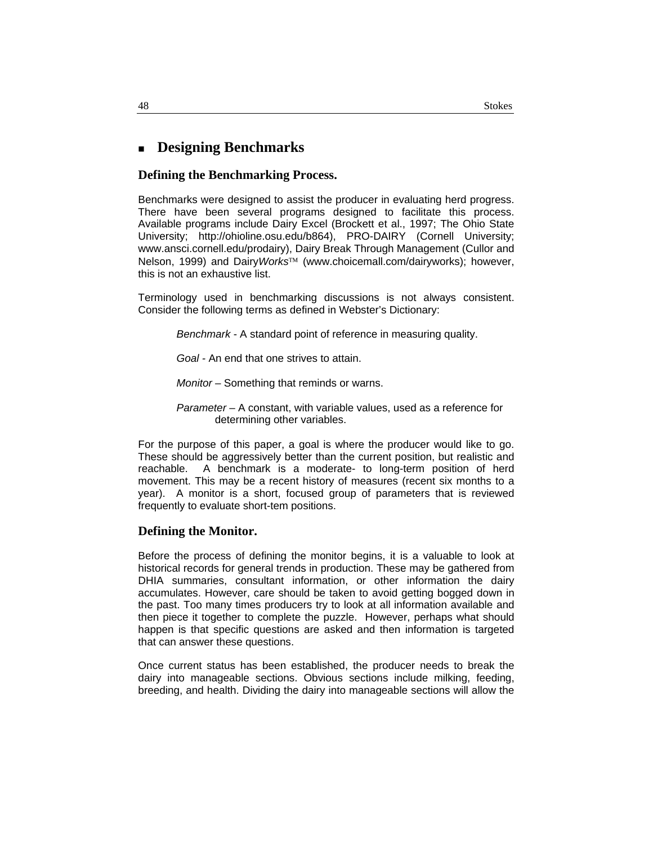## **Designing Benchmarks**

#### **Defining the Benchmarking Process.**

Benchmarks were designed to assist the producer in evaluating herd progress. There have been several programs designed to facilitate this process. Available programs include Dairy Excel (Brockett et al., 1997; The Ohio State University; http://ohioline.osu.edu/b864), PRO-DAIRY (Cornell University; www.ansci.cornell.edu/prodairy), Dairy Break Through Management (Cullor and Nelson, 1999) and Dairy*Works*™ (www.choicemall.com/dairyworks); however, this is not an exhaustive list.

Terminology used in benchmarking discussions is not always consistent. Consider the following terms as defined in Webster's Dictionary:

*Benchmark* - A standard point of reference in measuring quality.

*Goal -* An end that one strives to attain.

*Monitor –* Something that reminds or warns.

*Parameter* – A constant, with variable values, used as a reference for determining other variables.

For the purpose of this paper, a goal is where the producer would like to go. These should be aggressively better than the current position, but realistic and reachable. A benchmark is a moderate- to long-term position of herd movement. This may be a recent history of measures (recent six months to a year). A monitor is a short, focused group of parameters that is reviewed frequently to evaluate short-tem positions.

#### **Defining the Monitor.**

Before the process of defining the monitor begins, it is a valuable to look at historical records for general trends in production. These may be gathered from DHIA summaries, consultant information, or other information the dairy accumulates. However, care should be taken to avoid getting bogged down in the past. Too many times producers try to look at all information available and then piece it together to complete the puzzle. However, perhaps what should happen is that specific questions are asked and then information is targeted that can answer these questions.

Once current status has been established, the producer needs to break the dairy into manageable sections. Obvious sections include milking, feeding, breeding, and health. Dividing the dairy into manageable sections will allow the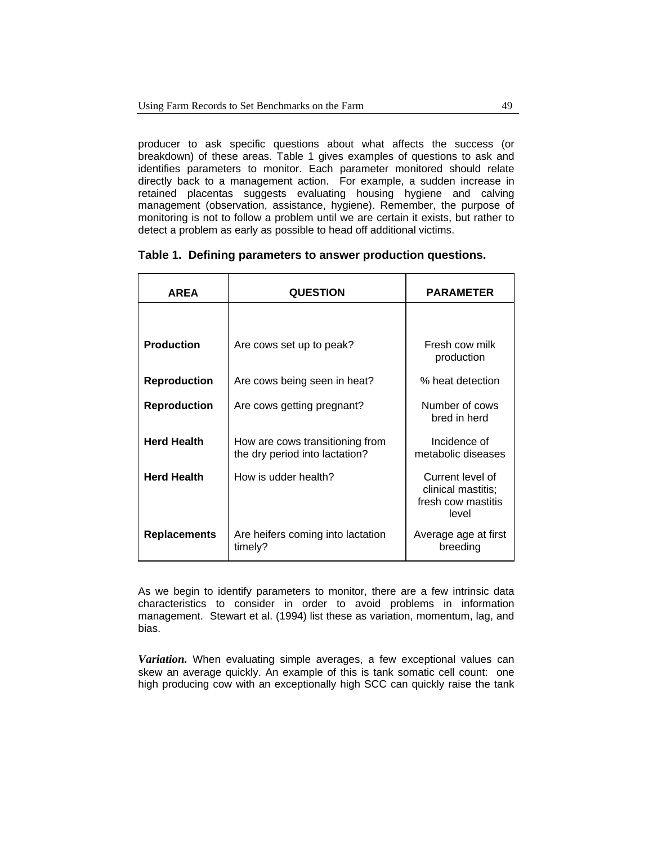producer to ask specific questions about what affects the success (or breakdown) of these areas. Table 1 gives examples of questions to ask and identifies parameters to monitor. Each parameter monitored should relate directly back to a management action. For example, a sudden increase in retained placentas suggests evaluating housing hygiene and calving management (observation, assistance, hygiene). Remember, the purpose of monitoring is not to follow a problem until we are certain it exists, but rather to detect a problem as early as possible to head off additional victims.

#### **Table 1. Defining parameters to answer production questions.**

| <b>AREA</b>         | <b>QUESTION</b>                                                   | <b>PARAMETER</b>                                                      |
|---------------------|-------------------------------------------------------------------|-----------------------------------------------------------------------|
|                     |                                                                   |                                                                       |
| <b>Production</b>   | Are cows set up to peak?                                          | Fresh cow milk<br>production                                          |
| <b>Reproduction</b> | Are cows being seen in heat?                                      | % heat detection                                                      |
| <b>Reproduction</b> | Are cows getting pregnant?                                        | Number of cows<br>bred in herd                                        |
| <b>Herd Health</b>  | How are cows transitioning from<br>the dry period into lactation? | Incidence of<br>metabolic diseases                                    |
| <b>Herd Health</b>  | How is udder health?                                              | Current level of<br>clinical mastitis;<br>fresh cow mastitis<br>level |
| <b>Replacements</b> | Are heifers coming into lactation<br>timely?                      | Average age at first<br>breeding                                      |

As we begin to identify parameters to monitor, there are a few intrinsic data characteristics to consider in order to avoid problems in information management. Stewart et al. (1994) list these as variation, momentum, lag, and bias.

*Variation.* When evaluating simple averages, a few exceptional values can skew an average quickly. An example of this is tank somatic cell count: one high producing cow with an exceptionally high SCC can quickly raise the tank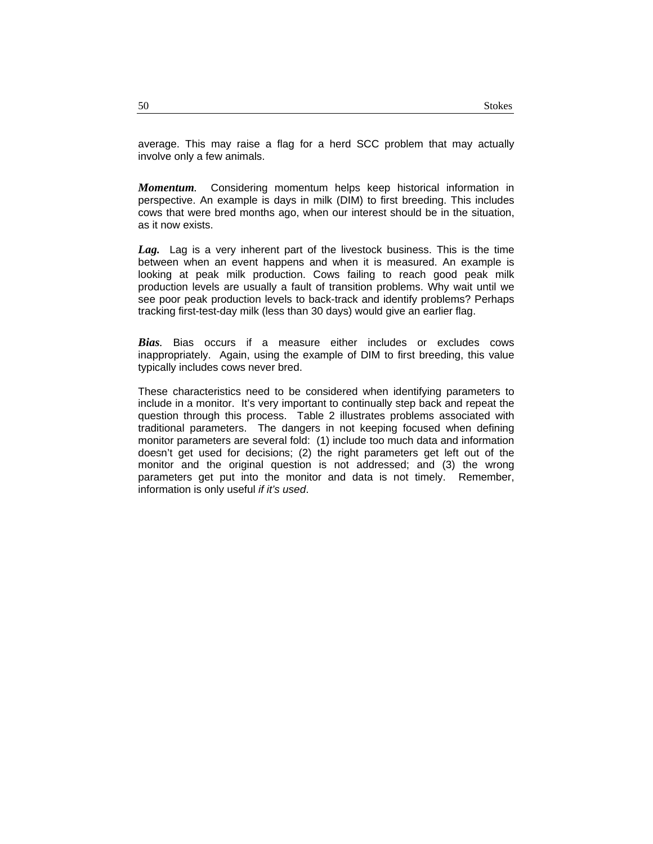average. This may raise a flag for a herd SCC problem that may actually involve only a few animals.

*Momentum.* Considering momentum helps keep historical information in perspective. An example is days in milk (DIM) to first breeding. This includes cows that were bred months ago, when our interest should be in the situation, as it now exists.

*Lag.*Lag is a very inherent part of the livestock business. This is the time between when an event happens and when it is measured. An example is looking at peak milk production. Cows failing to reach good peak milk production levels are usually a fault of transition problems. Why wait until we see poor peak production levels to back-track and identify problems? Perhaps tracking first-test-day milk (less than 30 days) would give an earlier flag.

*Bias.* Bias occurs if a measure either includes or excludes cows inappropriately. Again, using the example of DIM to first breeding, this value typically includes cows never bred.

These characteristics need to be considered when identifying parameters to include in a monitor. It's very important to continually step back and repeat the question through this process. Table 2 illustrates problems associated with traditional parameters. The dangers in not keeping focused when defining monitor parameters are several fold: (1) include too much data and information doesn't get used for decisions; (2) the right parameters get left out of the monitor and the original question is not addressed; and (3) the wrong parameters get put into the monitor and data is not timely. Remember, information is only useful *if it's used*.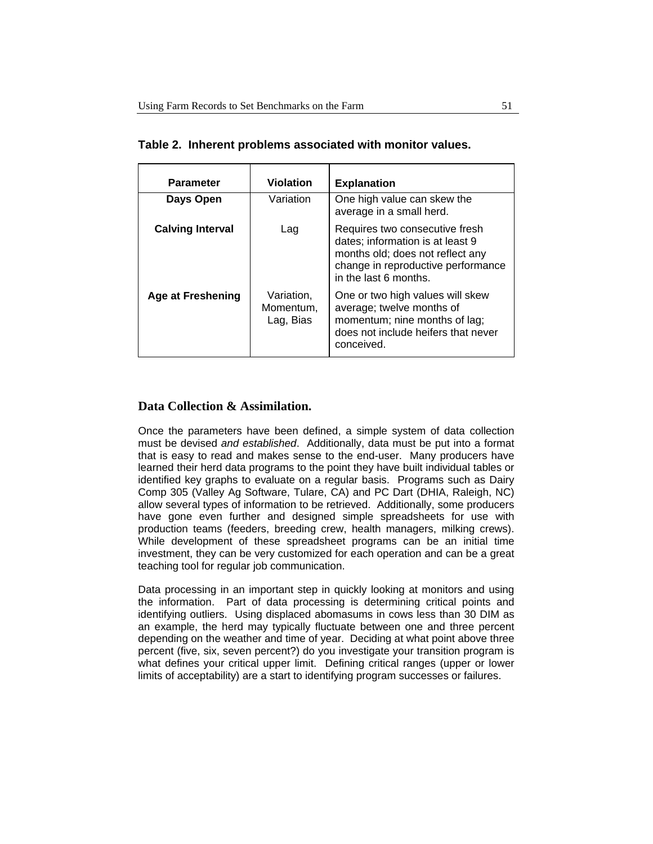| <b>Parameter</b>         | <b>Violation</b>                     | <b>Explanation</b>                                                                                                                                                    |
|--------------------------|--------------------------------------|-----------------------------------------------------------------------------------------------------------------------------------------------------------------------|
| Days Open                | Variation                            | One high value can skew the<br>average in a small herd.                                                                                                               |
| <b>Calving Interval</b>  | Lag                                  | Requires two consecutive fresh<br>dates; information is at least 9<br>months old; does not reflect any<br>change in reproductive performance<br>in the last 6 months. |
| <b>Age at Freshening</b> | Variation,<br>Momentum,<br>Lag, Bias | One or two high values will skew<br>average; twelve months of<br>momentum; nine months of lag;<br>does not include heifers that never<br>conceived.                   |

**Table 2. Inherent problems associated with monitor values.** 

### **Data Collection & Assimilation.**

Once the parameters have been defined, a simple system of data collection must be devised *and established*. Additionally, data must be put into a format that is easy to read and makes sense to the end-user. Many producers have learned their herd data programs to the point they have built individual tables or identified key graphs to evaluate on a regular basis. Programs such as Dairy Comp 305 (Valley Ag Software, Tulare, CA) and PC Dart (DHIA, Raleigh, NC) allow several types of information to be retrieved. Additionally, some producers have gone even further and designed simple spreadsheets for use with production teams (feeders, breeding crew, health managers, milking crews). While development of these spreadsheet programs can be an initial time investment, they can be very customized for each operation and can be a great teaching tool for regular job communication.

Data processing in an important step in quickly looking at monitors and using the information. Part of data processing is determining critical points and identifying outliers. Using displaced abomasums in cows less than 30 DIM as an example, the herd may typically fluctuate between one and three percent depending on the weather and time of year. Deciding at what point above three percent (five, six, seven percent?) do you investigate your transition program is what defines your critical upper limit. Defining critical ranges (upper or lower limits of acceptability) are a start to identifying program successes or failures.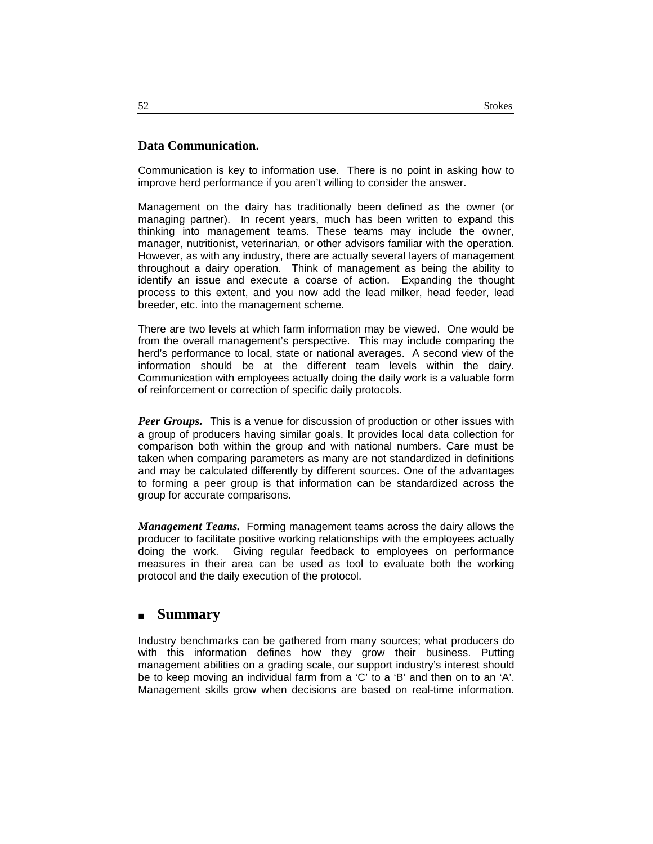### **Data Communication.**

Communication is key to information use. There is no point in asking how to improve herd performance if you aren't willing to consider the answer.

Management on the dairy has traditionally been defined as the owner (or managing partner). In recent years, much has been written to expand this thinking into management teams. These teams may include the owner, manager, nutritionist, veterinarian, or other advisors familiar with the operation. However, as with any industry, there are actually several layers of management throughout a dairy operation. Think of management as being the ability to identify an issue and execute a coarse of action. Expanding the thought process to this extent, and you now add the lead milker, head feeder, lead breeder, etc. into the management scheme.

There are two levels at which farm information may be viewed. One would be from the overall management's perspective. This may include comparing the herd's performance to local, state or national averages. A second view of the information should be at the different team levels within the dairy. Communication with employees actually doing the daily work is a valuable form of reinforcement or correction of specific daily protocols.

*Peer Groups.* This is a venue for discussion of production or other issues with a group of producers having similar goals. It provides local data collection for comparison both within the group and with national numbers. Care must be taken when comparing parameters as many are not standardized in definitions and may be calculated differently by different sources. One of the advantages to forming a peer group is that information can be standardized across the group for accurate comparisons.

*Management Teams.* Forming management teams across the dairy allows the producer to facilitate positive working relationships with the employees actually doing the work. Giving regular feedback to employees on performance measures in their area can be used as tool to evaluate both the working protocol and the daily execution of the protocol.

### **Summary**

Industry benchmarks can be gathered from many sources; what producers do with this information defines how they grow their business. Putting management abilities on a grading scale, our support industry's interest should be to keep moving an individual farm from a 'C' to a 'B' and then on to an 'A'. Management skills grow when decisions are based on real-time information.